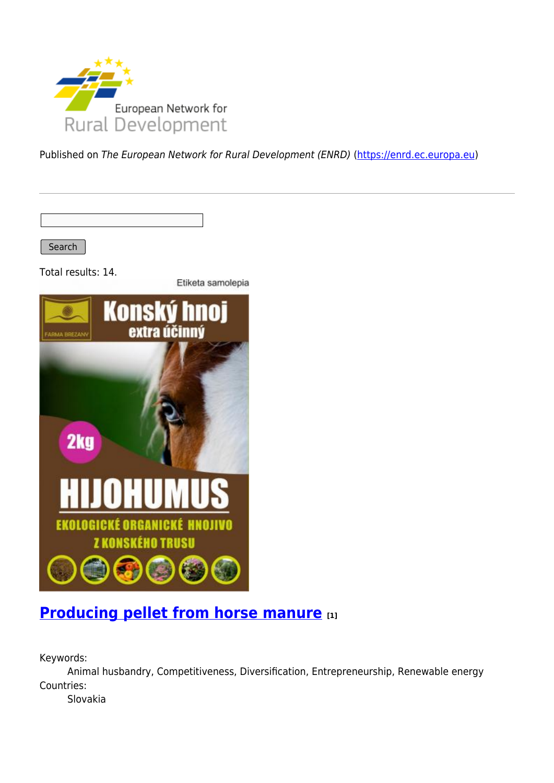

Published on The European Network for Rural Development (ENRD) [\(https://enrd.ec.europa.eu](https://enrd.ec.europa.eu))

Search

Total results: 14.

Etiketa samolepia



#### **[Producing pellet from horse manure](https://enrd.ec.europa.eu/projects-practice/producing-pellet-horse-manure_en) [1]**

Keywords:

Animal husbandry, Competitiveness, Diversification, Entrepreneurship, Renewable energy Countries:

Slovakia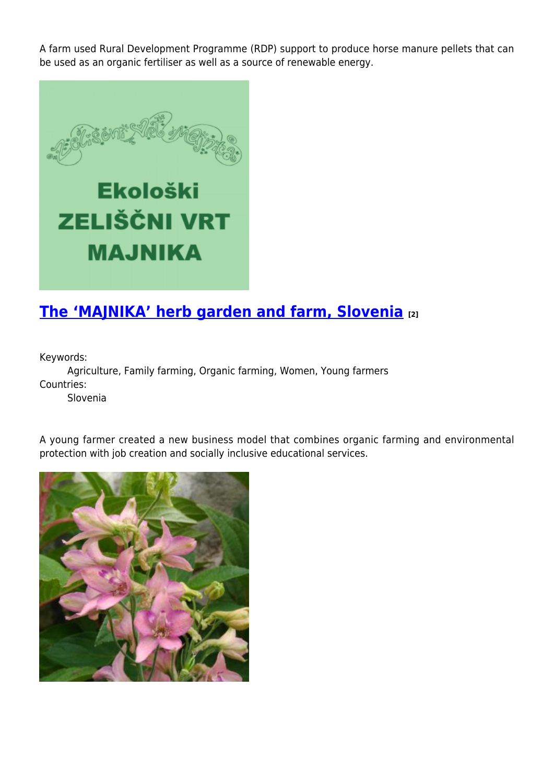A farm used Rural Development Programme (RDP) support to produce horse manure pellets that can be used as an organic fertiliser as well as a source of renewable energy.



# **[The 'MAJNIKA' herb garden and farm, Slovenia](https://enrd.ec.europa.eu/projects-practice/majnika-herb-garden-and-farm-slovenia_en) [2]**

Keywords:

Agriculture, Family farming, Organic farming, Women, Young farmers Countries:

Slovenia

A young farmer created a new business model that combines organic farming and environmental protection with job creation and socially inclusive educational services.

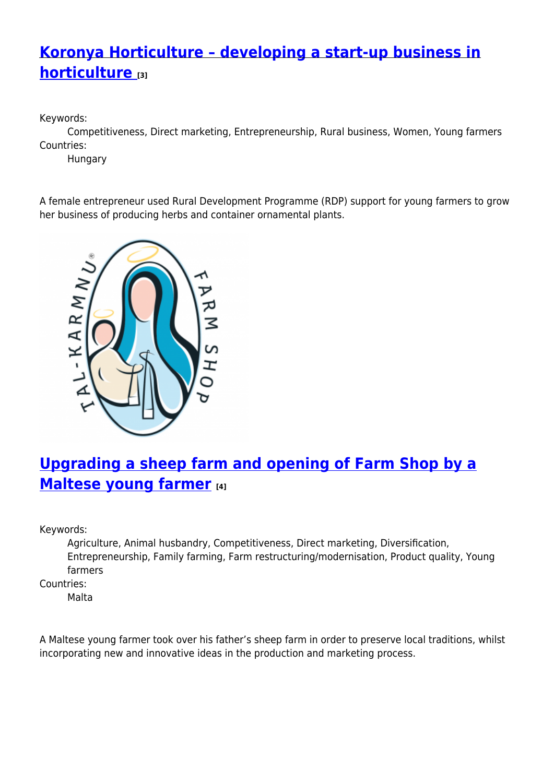## **[Koronya Horticulture – developing a start-up business in](https://enrd.ec.europa.eu/projects-practice/koronya-horticulture-developing-start-business-horticulture_en) [horticulture](https://enrd.ec.europa.eu/projects-practice/koronya-horticulture-developing-start-business-horticulture_en) [3]**

Keywords:

Competitiveness, Direct marketing, Entrepreneurship, Rural business, Women, Young farmers Countries:

Hungary

A female entrepreneur used Rural Development Programme (RDP) support for young farmers to grow her business of producing herbs and container ornamental plants.



### **[Upgrading a sheep farm and opening of Farm Shop by a](https://enrd.ec.europa.eu/projects-practice/upgrading-sheep-farm-and-opening-farm-shop-maltese-young-farmer_en) [Maltese young farmer](https://enrd.ec.europa.eu/projects-practice/upgrading-sheep-farm-and-opening-farm-shop-maltese-young-farmer_en) [4]**

Keywords:

Agriculture, Animal husbandry, Competitiveness, Direct marketing, Diversification, Entrepreneurship, Family farming, Farm restructuring/modernisation, Product quality, Young farmers

Countries:

Malta

A Maltese young farmer took over his father's sheep farm in order to preserve local traditions, whilst incorporating new and innovative ideas in the production and marketing process.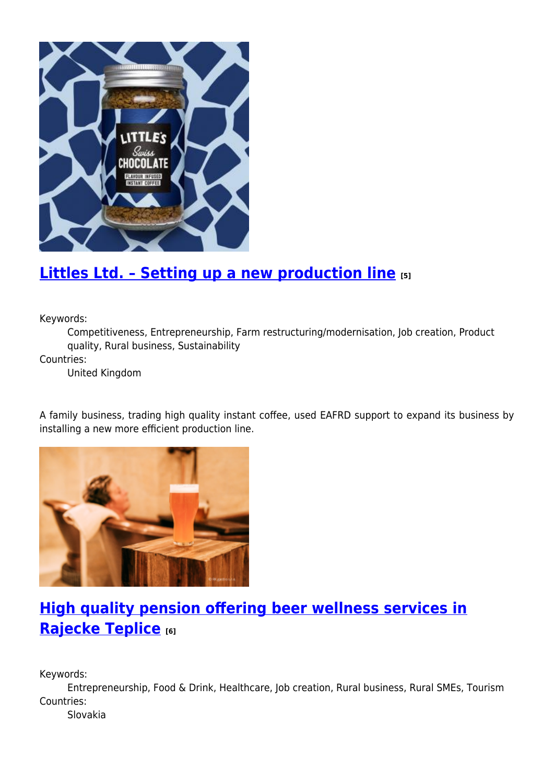

#### **[Littles Ltd. – Setting up a new production line](https://enrd.ec.europa.eu/projects-practice/littles-ltd-setting-new-production-line_en) [5]**

Keywords:

Competitiveness, Entrepreneurship, Farm restructuring/modernisation, Job creation, Product quality, Rural business, Sustainability

Countries:

United Kingdom

A family business, trading high quality instant coffee, used EAFRD support to expand its business by installing a new more efficient production line.



## **[High quality pension offering beer wellness services in](https://enrd.ec.europa.eu/projects-practice/high-quality-pension-offering-beer-wellness-services-rajecke-teplice_en) [Rajecke Teplice](https://enrd.ec.europa.eu/projects-practice/high-quality-pension-offering-beer-wellness-services-rajecke-teplice_en) [6]**

Keywords:

Entrepreneurship, Food & Drink, Healthcare, Job creation, Rural business, Rural SMEs, Tourism Countries:

Slovakia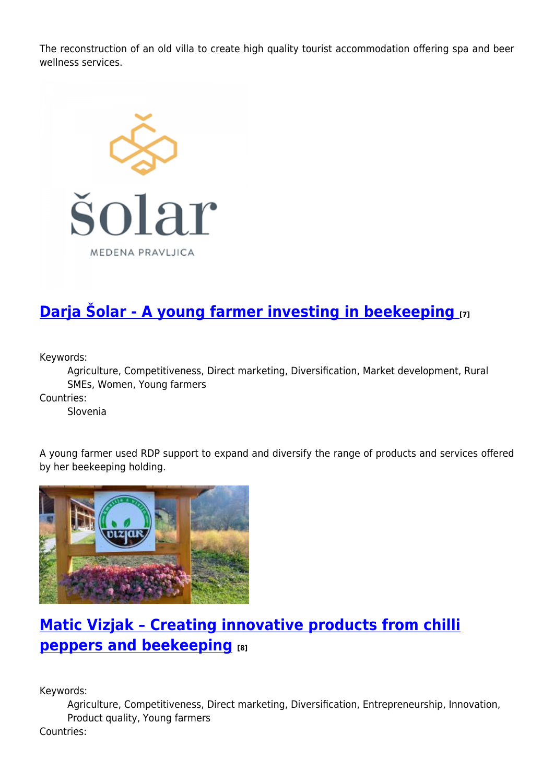The reconstruction of an old villa to create high quality tourist accommodation offering spa and beer wellness services.



# **[Darja Šolar - A young farmer investing in beekeeping](https://enrd.ec.europa.eu/projects-practice/darja-solar-young-farmer-investing-beekeeping_en) [7]**

Keywords:

Agriculture, Competitiveness, Direct marketing, Diversification, Market development, Rural SMEs, Women, Young farmers

Countries:

Slovenia

A young farmer used RDP support to expand and diversify the range of products and services offered by her beekeeping holding.



### **[Matic Vizjak – Creating innovative products from chilli](https://enrd.ec.europa.eu/projects-practice/matic-vizjak-creating-innovative-products-chilli-peppers-and-beekeeping_en) [peppers and beekeeping](https://enrd.ec.europa.eu/projects-practice/matic-vizjak-creating-innovative-products-chilli-peppers-and-beekeeping_en) [8]**

Keywords:

Agriculture, Competitiveness, Direct marketing, Diversification, Entrepreneurship, Innovation, Product quality, Young farmers

Countries: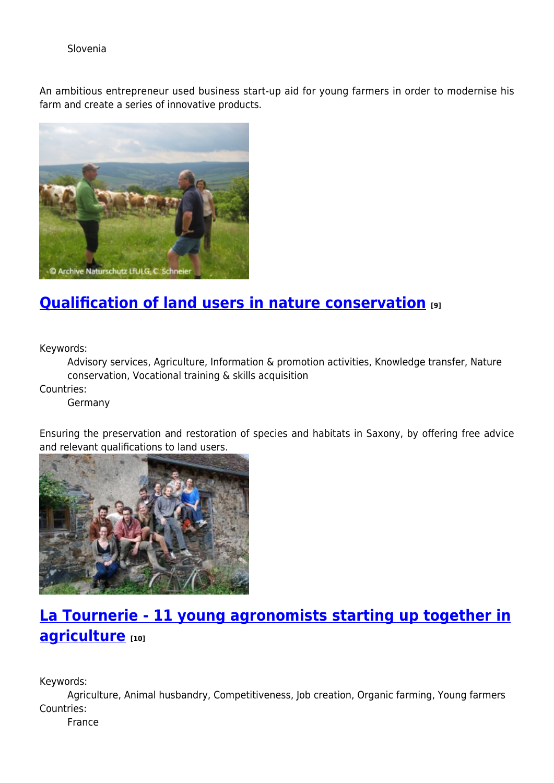Slovenia

An ambitious entrepreneur used business start-up aid for young farmers in order to modernise his farm and create a series of innovative products.



#### **[Qualification of land users in nature conservation](https://enrd.ec.europa.eu/projects-practice/qualification-land-users-nature-conservation_en) [9]**

Keywords:

Advisory services, Agriculture, Information & promotion activities, Knowledge transfer, Nature conservation, Vocational training & skills acquisition

Countries:

Germany

Ensuring the preservation and restoration of species and habitats in Saxony, by offering free advice and relevant qualifications to land users.



# **[La Tournerie - 11 young agronomists starting up together in](https://enrd.ec.europa.eu/projects-practice/la-tournerie-11-young-agronomists-starting-together-agriculture_en) [agriculture](https://enrd.ec.europa.eu/projects-practice/la-tournerie-11-young-agronomists-starting-together-agriculture_en) [10]**

Keywords:

Agriculture, Animal husbandry, Competitiveness, Job creation, Organic farming, Young farmers Countries:

France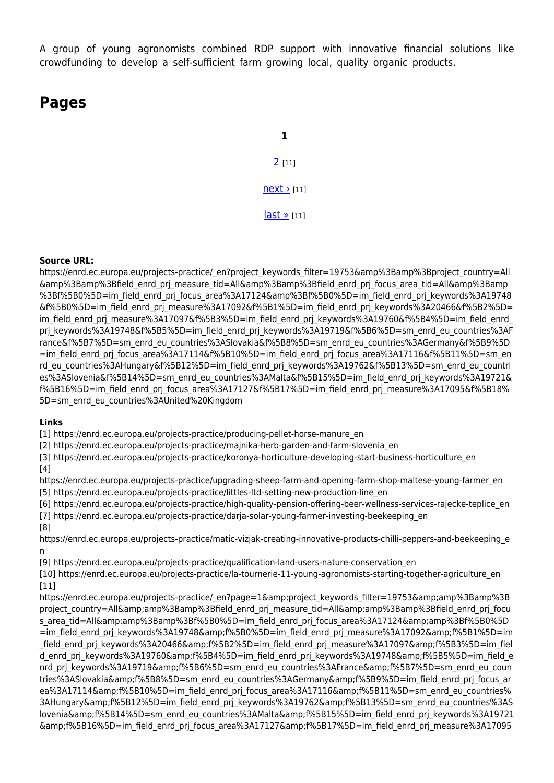A group of young agronomists combined RDP support with innovative financial solutions like crowdfunding to develop a self-sufficient farm growing local, quality organic products.

#### **Pages**

**1**  $2$  [11]  $next$  [11]  $last \times [11]$ 

#### **Source URL:**

https://enrd.ec.europa.eu/projects-practice/\_en?project\_keywords\_filter=19753&amp%3Bamp%3Bproject\_country=All &amp%3Bamp%3Bfield\_enrd\_prj\_measure\_tid=All&amp%3Bamp%3Bfield\_enrd\_prj\_focus\_area\_tid=All&amp%3Bamp %3Bf%5B0%5D=im field enrd prj focus area%3A17124&amp%3Bf%5B0%5D=im field enrd prj keywords%3A19748 &f%5B0%5D=im\_field\_enrd\_prj\_measure%3A17092&f%5B1%5D=im\_field\_enrd\_prj\_keywords%3A20466&f%5B2%5D= im\_field\_enrd\_prj\_measure%3A17097&f%5B3%5D=im\_field\_enrd\_prj\_keywords%3A19760&f%5B4%5D=im\_field\_enrd\_ prj keywords%3A19748&f%5B5%5D=im field enrd prj keywords%3A19719&f%5B6%5D=sm enrd eu countries%3AF rance&f%5B7%5D=sm\_enrd\_eu\_countries%3ASlovakia&f%5B8%5D=sm\_enrd\_eu\_countries%3AGermany&f%5B9%5D =im\_field\_enrd\_prj\_focus\_area%3A17114&f%5B10%5D=im\_field\_enrd\_prj\_focus\_area%3A17116&f%5B11%5D=sm\_en rd\_eu\_countries%3AHungary&f%5B12%5D=im\_field\_enrd\_prj\_keywords%3A19762&f%5B13%5D=sm\_enrd\_eu\_countri es%3ASlovenia&f%5B14%5D=sm\_enrd\_eu\_countries%3AMalta&f%5B15%5D=im\_field\_enrd\_prj\_keywords%3A19721& f%5B16%5D=im field enrd prj focus area%3A17127&f%5B17%5D=im field enrd prj measure%3A17095&f%5B18% 5D=sm\_enrd\_eu\_countries%3AUnited%20Kingdom

#### **Links**

[1] https://enrd.ec.europa.eu/projects-practice/producing-pellet-horse-manure\_en

[2] https://enrd.ec.europa.eu/projects-practice/majnika-herb-garden-and-farm-slovenia\_en

[3] https://enrd.ec.europa.eu/projects-practice/koronya-horticulture-developing-start-business-horticulture\_en

[4]

https://enrd.ec.europa.eu/projects-practice/upgrading-sheep-farm-and-opening-farm-shop-maltese-young-farmer\_en [5] https://enrd.ec.europa.eu/projects-practice/littles-ltd-setting-new-production-line\_en

[6] https://enrd.ec.europa.eu/projects-practice/high-quality-pension-offering-beer-wellness-services-rajecke-teplice\_en [7] https://enrd.ec.europa.eu/projects-practice/darja-solar-young-farmer-investing-beekeeping\_en

[8]

https://enrd.ec.europa.eu/projects-practice/matic-vizjak-creating-innovative-products-chilli-peppers-and-beekeeping\_e n

[9] https://enrd.ec.europa.eu/projects-practice/qualification-land-users-nature-conservation\_en

[10] https://enrd.ec.europa.eu/projects-practice/la-tournerie-11-young-agronomists-starting-together-agriculture\_en [11]

https://enrd.ec.europa.eu/projects-practice/\_en?page=1&amp:project\_keywords\_filter=19753&amp:amp%3Bamp%3B project country=All&amp%3Bamp%3Bfield enrd prj measure tid=All&amp%3Bamp%3Bfield enrd prj focu s\_area\_tid=All&amp%3Bamp%3Bf%5B0%5D=im\_field\_enrd\_prj\_focus\_area%3A17124&amp%3Bf%5B0%5D =im\_field\_enrd\_prj\_keywords%3A19748&f%5B0%5D=im\_field\_enrd\_prj\_measure%3A17092&f%5B1%5D=im field enrd prj keywords%3A20466&f%5B2%5D=im field enrd prj measure%3A17097&f%5B3%5D=im fiel d enrd prj keywords%3A19760&f%5B4%5D=im field enrd prj keywords%3A19748&f%5B5%5D=im field e nrd pri keywords%3A19719&f%5B6%5D=sm\_enrd\_eu\_countries%3AFrance&f%5B7%5D=sm\_enrd\_eu\_coun tries%3ASlovakia&f%5B8%5D=sm\_enrd\_eu\_countries%3AGermany&f%5B9%5D=im\_field\_enrd\_prj\_focus\_ar ea%3A17114&f%5B10%5D=im\_field\_enrd\_prj\_focus\_area%3A17116&f%5B11%5D=sm\_enrd\_eu\_countries% 3AHungary&f%5B12%5D=im\_field\_enrd\_prj\_keywords%3A19762&f%5B13%5D=sm\_enrd\_eu\_countries%3AS lovenia&f%5B14%5D=sm\_enrd\_eu\_countries%3AMalta&f%5B15%5D=im\_field\_enrd\_prj\_keywords%3A19721 &f%5B16%5D=im\_field\_enrd\_prj\_focus\_area%3A17127&f%5B17%5D=im\_field\_enrd\_prj\_measure%3A17095